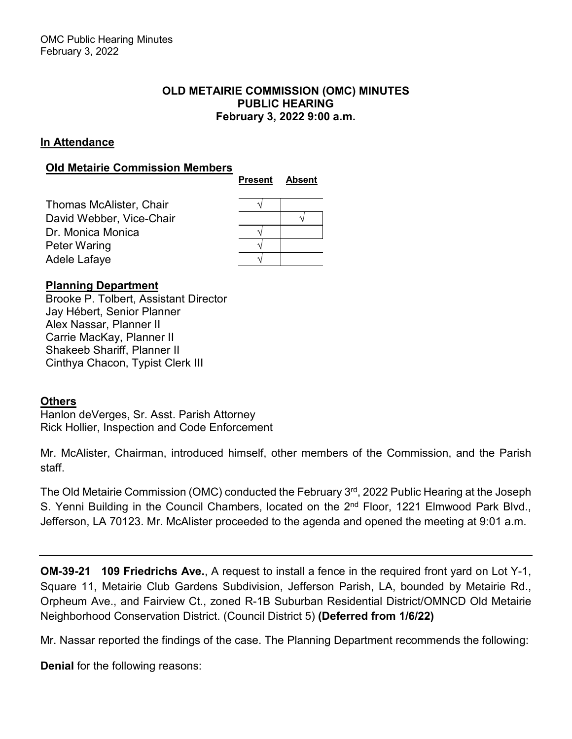# **OLD METAIRIE COMMISSION (OMC) MINUTES PUBLIC HEARING February 3, 2022 9:00 a.m.**

# **In Attendance**

# **Old Metairie Commission Members**

|                          | <b>Present</b> | <b>Absent</b> |
|--------------------------|----------------|---------------|
| Thomas McAlister, Chair  |                |               |
| David Webber, Vice-Chair |                |               |
| Dr. Monica Monica        |                |               |
| Peter Waring             |                |               |
| Adele Lafaye             |                |               |

# **Planning Department**

Brooke P. Tolbert, Assistant Director Jay Hébert, Senior Planner Alex Nassar, Planner II Carrie MacKay, Planner II Shakeeb Shariff, Planner II Cinthya Chacon, Typist Clerk III

# **Others**

Hanlon deVerges, Sr. Asst. Parish Attorney Rick Hollier, Inspection and Code Enforcement

Mr. McAlister, Chairman, introduced himself, other members of the Commission, and the Parish staff.

The Old Metairie Commission (OMC) conducted the February 3rd, 2022 Public Hearing at the Joseph S. Yenni Building in the Council Chambers, located on the 2<sup>nd</sup> Floor, 1221 Elmwood Park Blvd., Jefferson, LA 70123. Mr. McAlister proceeded to the agenda and opened the meeting at 9:01 a.m.

**OM-39-21 109 Friedrichs Ave.**, A request to install a fence in the required front yard on Lot Y-1, Square 11, Metairie Club Gardens Subdivision, Jefferson Parish, LA, bounded by Metairie Rd., Orpheum Ave., and Fairview Ct., zoned R-1B Suburban Residential District/OMNCD Old Metairie Neighborhood Conservation District. (Council District 5) **(Deferred from 1/6/22)**

Mr. Nassar reported the findings of the case. The Planning Department recommends the following:

**Denial** for the following reasons: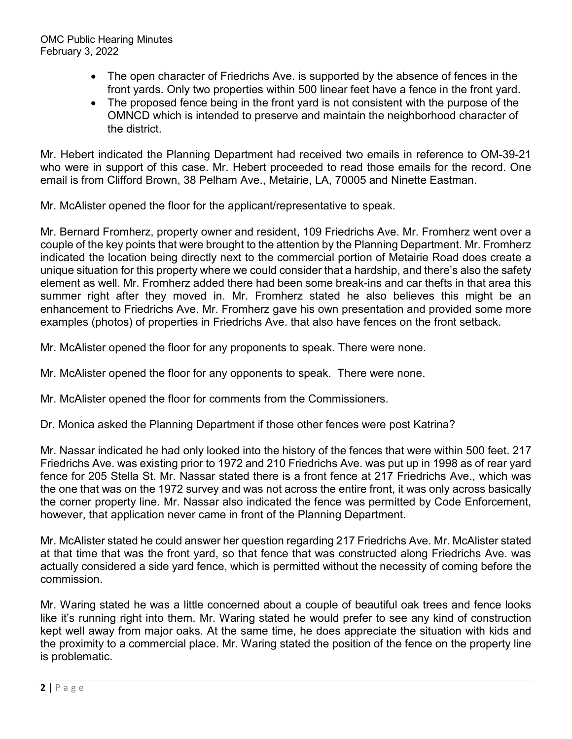- The open character of Friedrichs Ave. is supported by the absence of fences in the front yards. Only two properties within 500 linear feet have a fence in the front yard.
- The proposed fence being in the front yard is not consistent with the purpose of the OMNCD which is intended to preserve and maintain the neighborhood character of the district.

Mr. Hebert indicated the Planning Department had received two emails in reference to OM-39-21 who were in support of this case. Mr. Hebert proceeded to read those emails for the record. One email is from Clifford Brown, 38 Pelham Ave., Metairie, LA, 70005 and Ninette Eastman.

Mr. McAlister opened the floor for the applicant/representative to speak.

Mr. Bernard Fromherz, property owner and resident, 109 Friedrichs Ave. Mr. Fromherz went over a couple of the key points that were brought to the attention by the Planning Department. Mr. Fromherz indicated the location being directly next to the commercial portion of Metairie Road does create a unique situation for this property where we could consider that a hardship, and there's also the safety element as well. Mr. Fromherz added there had been some break-ins and car thefts in that area this summer right after they moved in. Mr. Fromherz stated he also believes this might be an enhancement to Friedrichs Ave. Mr. Fromherz gave his own presentation and provided some more examples (photos) of properties in Friedrichs Ave. that also have fences on the front setback.

Mr. McAlister opened the floor for any proponents to speak. There were none.

Mr. McAlister opened the floor for any opponents to speak. There were none.

Mr. McAlister opened the floor for comments from the Commissioners.

Dr. Monica asked the Planning Department if those other fences were post Katrina?

Mr. Nassar indicated he had only looked into the history of the fences that were within 500 feet. 217 Friedrichs Ave. was existing prior to 1972 and 210 Friedrichs Ave. was put up in 1998 as of rear yard fence for 205 Stella St. Mr. Nassar stated there is a front fence at 217 Friedrichs Ave., which was the one that was on the 1972 survey and was not across the entire front, it was only across basically the corner property line. Mr. Nassar also indicated the fence was permitted by Code Enforcement, however, that application never came in front of the Planning Department.

Mr. McAlister stated he could answer her question regarding 217 Friedrichs Ave. Mr. McAlister stated at that time that was the front yard, so that fence that was constructed along Friedrichs Ave. was actually considered a side yard fence, which is permitted without the necessity of coming before the commission.

Mr. Waring stated he was a little concerned about a couple of beautiful oak trees and fence looks like it's running right into them. Mr. Waring stated he would prefer to see any kind of construction kept well away from major oaks. At the same time, he does appreciate the situation with kids and the proximity to a commercial place. Mr. Waring stated the position of the fence on the property line is problematic.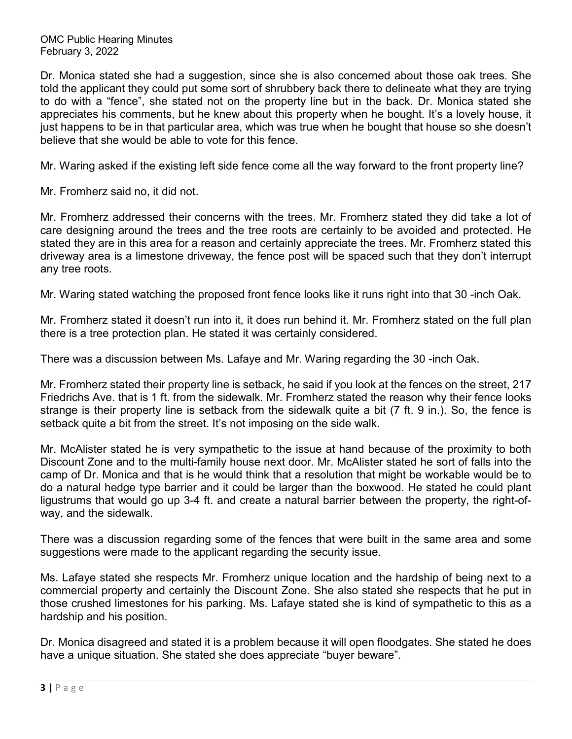Dr. Monica stated she had a suggestion, since she is also concerned about those oak trees. She told the applicant they could put some sort of shrubbery back there to delineate what they are trying to do with a "fence", she stated not on the property line but in the back. Dr. Monica stated she appreciates his comments, but he knew about this property when he bought. It's a lovely house, it just happens to be in that particular area, which was true when he bought that house so she doesn't believe that she would be able to vote for this fence.

Mr. Waring asked if the existing left side fence come all the way forward to the front property line?

Mr. Fromherz said no, it did not.

Mr. Fromherz addressed their concerns with the trees. Mr. Fromherz stated they did take a lot of care designing around the trees and the tree roots are certainly to be avoided and protected. He stated they are in this area for a reason and certainly appreciate the trees. Mr. Fromherz stated this driveway area is a limestone driveway, the fence post will be spaced such that they don't interrupt any tree roots.

Mr. Waring stated watching the proposed front fence looks like it runs right into that 30 -inch Oak.

Mr. Fromherz stated it doesn't run into it, it does run behind it. Mr. Fromherz stated on the full plan there is a tree protection plan. He stated it was certainly considered.

There was a discussion between Ms. Lafaye and Mr. Waring regarding the 30 -inch Oak.

Mr. Fromherz stated their property line is setback, he said if you look at the fences on the street, 217 Friedrichs Ave. that is 1 ft. from the sidewalk. Mr. Fromherz stated the reason why their fence looks strange is their property line is setback from the sidewalk quite a bit (7 ft. 9 in.). So, the fence is setback quite a bit from the street. It's not imposing on the side walk.

Mr. McAlister stated he is very sympathetic to the issue at hand because of the proximity to both Discount Zone and to the multi-family house next door. Mr. McAlister stated he sort of falls into the camp of Dr. Monica and that is he would think that a resolution that might be workable would be to do a natural hedge type barrier and it could be larger than the boxwood. He stated he could plant ligustrums that would go up 3-4 ft. and create a natural barrier between the property, the right-ofway, and the sidewalk.

There was a discussion regarding some of the fences that were built in the same area and some suggestions were made to the applicant regarding the security issue.

Ms. Lafaye stated she respects Mr. Fromherz unique location and the hardship of being next to a commercial property and certainly the Discount Zone. She also stated she respects that he put in those crushed limestones for his parking. Ms. Lafaye stated she is kind of sympathetic to this as a hardship and his position.

Dr. Monica disagreed and stated it is a problem because it will open floodgates. She stated he does have a unique situation. She stated she does appreciate "buyer beware".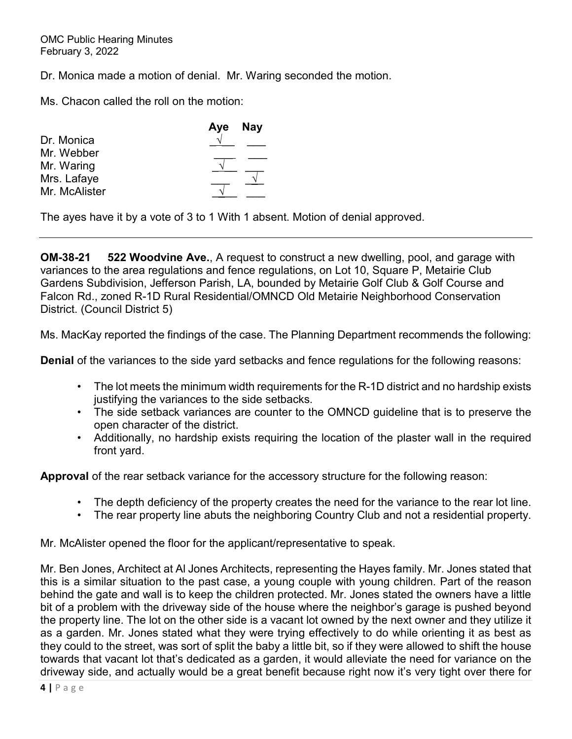Dr. Monica made a motion of denial. Mr. Waring seconded the motion.

Ms. Chacon called the roll on the motion:

|               | Aye Nay |  |
|---------------|---------|--|
| Dr. Monica    |         |  |
| Mr. Webber    |         |  |
| Mr. Waring    |         |  |
| Mrs. Lafaye   |         |  |
| Mr. McAlister |         |  |

The ayes have it by a vote of 3 to 1 With 1 absent. Motion of denial approved.

**OM-38-21 522 Woodvine Ave.**, A request to construct a new dwelling, pool, and garage with variances to the area regulations and fence regulations, on Lot 10, Square P, Metairie Club Gardens Subdivision, Jefferson Parish, LA, bounded by Metairie Golf Club & Golf Course and Falcon Rd., zoned R-1D Rural Residential/OMNCD Old Metairie Neighborhood Conservation District. (Council District 5)

Ms. MacKay reported the findings of the case. The Planning Department recommends the following:

**Denial** of the variances to the side yard setbacks and fence regulations for the following reasons:

- The lot meets the minimum width requirements for the R-1D district and no hardship exists justifying the variances to the side setbacks.
- The side setback variances are counter to the OMNCD guideline that is to preserve the open character of the district.
- Additionally, no hardship exists requiring the location of the plaster wall in the required front yard.

**Approval** of the rear setback variance for the accessory structure for the following reason:

- The depth deficiency of the property creates the need for the variance to the rear lot line.
- The rear property line abuts the neighboring Country Club and not a residential property.

Mr. McAlister opened the floor for the applicant/representative to speak.

Mr. Ben Jones, Architect at Al Jones Architects, representing the Hayes family. Mr. Jones stated that this is a similar situation to the past case, a young couple with young children. Part of the reason behind the gate and wall is to keep the children protected. Mr. Jones stated the owners have a little bit of a problem with the driveway side of the house where the neighbor's garage is pushed beyond the property line. The lot on the other side is a vacant lot owned by the next owner and they utilize it as a garden. Mr. Jones stated what they were trying effectively to do while orienting it as best as they could to the street, was sort of split the baby a little bit, so if they were allowed to shift the house towards that vacant lot that's dedicated as a garden, it would alleviate the need for variance on the driveway side, and actually would be a great benefit because right now it's very tight over there for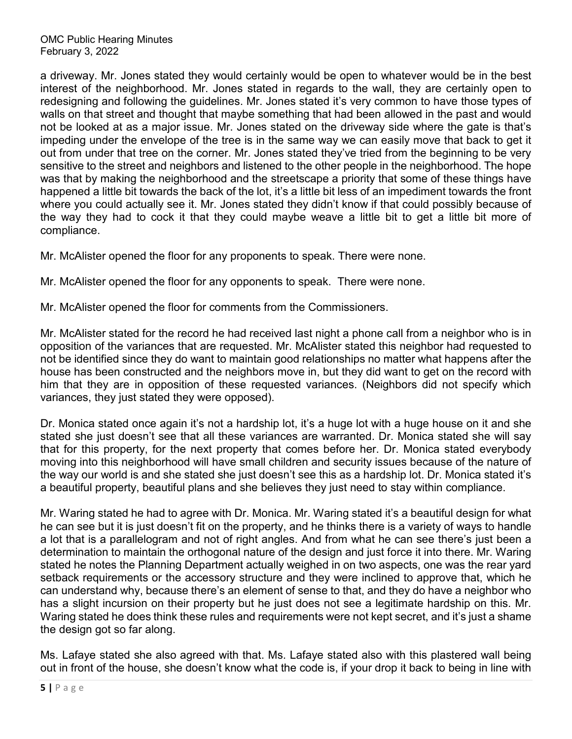a driveway. Mr. Jones stated they would certainly would be open to whatever would be in the best interest of the neighborhood. Mr. Jones stated in regards to the wall, they are certainly open to redesigning and following the guidelines. Mr. Jones stated it's very common to have those types of walls on that street and thought that maybe something that had been allowed in the past and would not be looked at as a major issue. Mr. Jones stated on the driveway side where the gate is that's impeding under the envelope of the tree is in the same way we can easily move that back to get it out from under that tree on the corner. Mr. Jones stated they've tried from the beginning to be very sensitive to the street and neighbors and listened to the other people in the neighborhood. The hope was that by making the neighborhood and the streetscape a priority that some of these things have happened a little bit towards the back of the lot, it's a little bit less of an impediment towards the front where you could actually see it. Mr. Jones stated they didn't know if that could possibly because of the way they had to cock it that they could maybe weave a little bit to get a little bit more of compliance.

Mr. McAlister opened the floor for any proponents to speak. There were none.

Mr. McAlister opened the floor for any opponents to speak. There were none.

Mr. McAlister opened the floor for comments from the Commissioners.

Mr. McAlister stated for the record he had received last night a phone call from a neighbor who is in opposition of the variances that are requested. Mr. McAlister stated this neighbor had requested to not be identified since they do want to maintain good relationships no matter what happens after the house has been constructed and the neighbors move in, but they did want to get on the record with him that they are in opposition of these requested variances. (Neighbors did not specify which variances, they just stated they were opposed).

Dr. Monica stated once again it's not a hardship lot, it's a huge lot with a huge house on it and she stated she just doesn't see that all these variances are warranted. Dr. Monica stated she will say that for this property, for the next property that comes before her. Dr. Monica stated everybody moving into this neighborhood will have small children and security issues because of the nature of the way our world is and she stated she just doesn't see this as a hardship lot. Dr. Monica stated it's a beautiful property, beautiful plans and she believes they just need to stay within compliance.

Mr. Waring stated he had to agree with Dr. Monica. Mr. Waring stated it's a beautiful design for what he can see but it is just doesn't fit on the property, and he thinks there is a variety of ways to handle a lot that is a parallelogram and not of right angles. And from what he can see there's just been a determination to maintain the orthogonal nature of the design and just force it into there. Mr. Waring stated he notes the Planning Department actually weighed in on two aspects, one was the rear yard setback requirements or the accessory structure and they were inclined to approve that, which he can understand why, because there's an element of sense to that, and they do have a neighbor who has a slight incursion on their property but he just does not see a legitimate hardship on this. Mr. Waring stated he does think these rules and requirements were not kept secret, and it's just a shame the design got so far along.

Ms. Lafaye stated she also agreed with that. Ms. Lafaye stated also with this plastered wall being out in front of the house, she doesn't know what the code is, if your drop it back to being in line with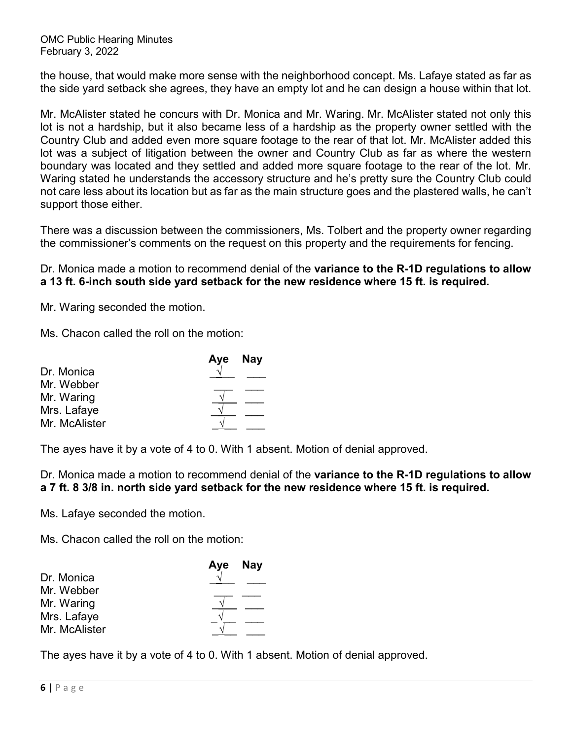the house, that would make more sense with the neighborhood concept. Ms. Lafaye stated as far as the side yard setback she agrees, they have an empty lot and he can design a house within that lot.

Mr. McAlister stated he concurs with Dr. Monica and Mr. Waring. Mr. McAlister stated not only this lot is not a hardship, but it also became less of a hardship as the property owner settled with the Country Club and added even more square footage to the rear of that lot. Mr. McAlister added this lot was a subject of litigation between the owner and Country Club as far as where the western boundary was located and they settled and added more square footage to the rear of the lot. Mr. Waring stated he understands the accessory structure and he's pretty sure the Country Club could not care less about its location but as far as the main structure goes and the plastered walls, he can't support those either.

There was a discussion between the commissioners, Ms. Tolbert and the property owner regarding the commissioner's comments on the request on this property and the requirements for fencing.

Dr. Monica made a motion to recommend denial of the **variance to the R-1D regulations to allow a 13 ft. 6-inch south side yard setback for the new residence where 15 ft. is required.**

Mr. Waring seconded the motion.

Ms. Chacon called the roll on the motion:

| Aye Nay |
|---------|

The ayes have it by a vote of 4 to 0. With 1 absent. Motion of denial approved.

Dr. Monica made a motion to recommend denial of the **variance to the R-1D regulations to allow a 7 ft. 8 3/8 in. north side yard setback for the new residence where 15 ft. is required.**

Ms. Lafaye seconded the motion.

Ms. Chacon called the roll on the motion:

|               | Aye Nay |
|---------------|---------|
| Dr. Monica    |         |
| Mr. Webber    |         |
| Mr. Waring    |         |
| Mrs. Lafaye   |         |
| Mr. McAlister |         |

The ayes have it by a vote of 4 to 0. With 1 absent. Motion of denial approved.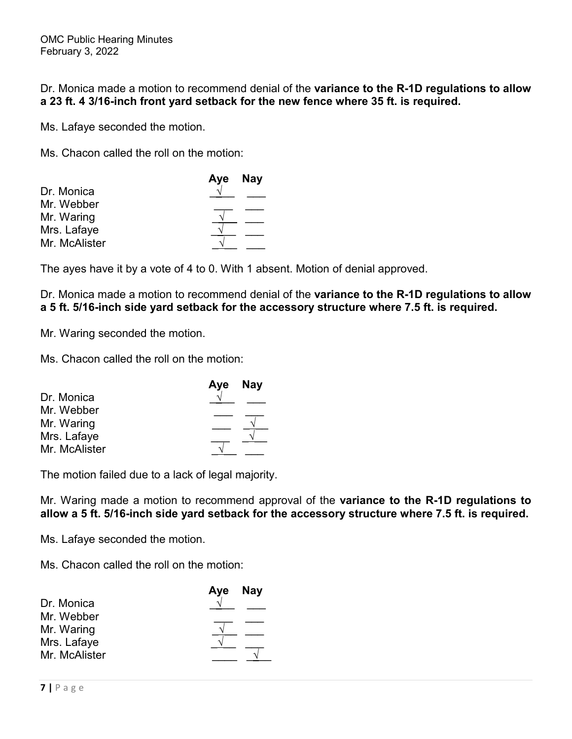Dr. Monica made a motion to recommend denial of the **variance to the R-1D regulations to allow a 23 ft. 4 3/16-inch front yard setback for the new fence where 35 ft. is required.**

Ms. Lafaye seconded the motion.

Ms. Chacon called the roll on the motion:

| Aye Nay |
|---------|
|         |
|         |
|         |
|         |
|         |
|         |

The ayes have it by a vote of 4 to 0. With 1 absent. Motion of denial approved.

Dr. Monica made a motion to recommend denial of the **variance to the R-1D regulations to allow a 5 ft. 5/16-inch side yard setback for the accessory structure where 7.5 ft. is required.**

Mr. Waring seconded the motion.

Ms. Chacon called the roll on the motion:

| Aye Nay |
|---------|
|         |
|         |
|         |
|         |
|         |
|         |

The motion failed due to a lack of legal majority.

Mr. Waring made a motion to recommend approval of the **variance to the R-1D regulations to allow a 5 ft. 5/16-inch side yard setback for the accessory structure where 7.5 ft. is required.**

Ms. Lafaye seconded the motion.

Ms. Chacon called the roll on the motion:

| Aye Nay |
|---------|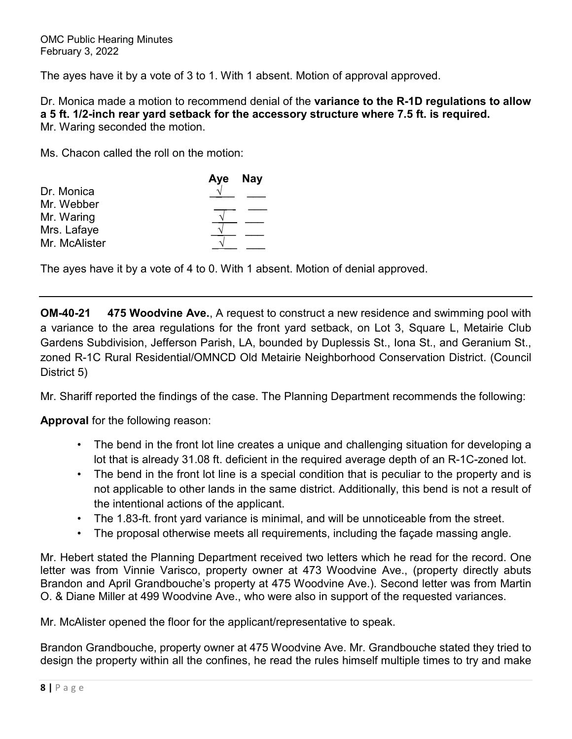The ayes have it by a vote of 3 to 1. With 1 absent. Motion of approval approved.

Dr. Monica made a motion to recommend denial of the **variance to the R-1D regulations to allow a 5 ft. 1/2-inch rear yard setback for the accessory structure where 7.5 ft. is required.** Mr. Waring seconded the motion.

Ms. Chacon called the roll on the motion:

|               | Aye Nay |
|---------------|---------|
| Dr. Monica    |         |
| Mr. Webber    |         |
| Mr. Waring    |         |
| Mrs. Lafaye   |         |
| Mr. McAlister |         |

The ayes have it by a vote of 4 to 0. With 1 absent. Motion of denial approved.

**OM-40-21 475 Woodvine Ave.**, A request to construct a new residence and swimming pool with a variance to the area regulations for the front yard setback, on Lot 3, Square L, Metairie Club Gardens Subdivision, Jefferson Parish, LA, bounded by Duplessis St., Iona St., and Geranium St., zoned R-1C Rural Residential/OMNCD Old Metairie Neighborhood Conservation District. (Council District 5)

Mr. Shariff reported the findings of the case. The Planning Department recommends the following:

**Approval** for the following reason:

- The bend in the front lot line creates a unique and challenging situation for developing a lot that is already 31.08 ft. deficient in the required average depth of an R-1C-zoned lot.
- The bend in the front lot line is a special condition that is peculiar to the property and is not applicable to other lands in the same district. Additionally, this bend is not a result of the intentional actions of the applicant.
- The 1.83-ft. front yard variance is minimal, and will be unnoticeable from the street.
- The proposal otherwise meets all requirements, including the façade massing angle.

Mr. Hebert stated the Planning Department received two letters which he read for the record. One letter was from Vinnie Varisco, property owner at 473 Woodvine Ave., (property directly abuts Brandon and April Grandbouche's property at 475 Woodvine Ave.). Second letter was from Martin O. & Diane Miller at 499 Woodvine Ave., who were also in support of the requested variances.

Mr. McAlister opened the floor for the applicant/representative to speak.

Brandon Grandbouche, property owner at 475 Woodvine Ave. Mr. Grandbouche stated they tried to design the property within all the confines, he read the rules himself multiple times to try and make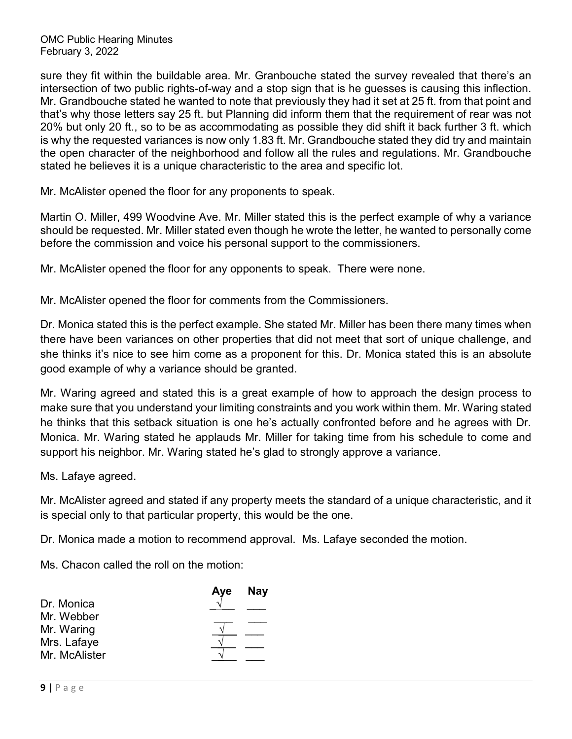sure they fit within the buildable area. Mr. Granbouche stated the survey revealed that there's an intersection of two public rights-of-way and a stop sign that is he guesses is causing this inflection. Mr. Grandbouche stated he wanted to note that previously they had it set at 25 ft. from that point and that's why those letters say 25 ft. but Planning did inform them that the requirement of rear was not 20% but only 20 ft., so to be as accommodating as possible they did shift it back further 3 ft. which is why the requested variances is now only 1.83 ft. Mr. Grandbouche stated they did try and maintain the open character of the neighborhood and follow all the rules and regulations. Mr. Grandbouche stated he believes it is a unique characteristic to the area and specific lot.

Mr. McAlister opened the floor for any proponents to speak.

Martin O. Miller, 499 Woodvine Ave. Mr. Miller stated this is the perfect example of why a variance should be requested. Mr. Miller stated even though he wrote the letter, he wanted to personally come before the commission and voice his personal support to the commissioners.

Mr. McAlister opened the floor for any opponents to speak. There were none.

Mr. McAlister opened the floor for comments from the Commissioners.

Dr. Monica stated this is the perfect example. She stated Mr. Miller has been there many times when there have been variances on other properties that did not meet that sort of unique challenge, and she thinks it's nice to see him come as a proponent for this. Dr. Monica stated this is an absolute good example of why a variance should be granted.

Mr. Waring agreed and stated this is a great example of how to approach the design process to make sure that you understand your limiting constraints and you work within them. Mr. Waring stated he thinks that this setback situation is one he's actually confronted before and he agrees with Dr. Monica. Mr. Waring stated he applauds Mr. Miller for taking time from his schedule to come and support his neighbor. Mr. Waring stated he's glad to strongly approve a variance.

Ms. Lafaye agreed.

Mr. McAlister agreed and stated if any property meets the standard of a unique characteristic, and it is special only to that particular property, this would be the one.

Dr. Monica made a motion to recommend approval. Ms. Lafaye seconded the motion.

Ms. Chacon called the roll on the motion:

| Aye | <b>Nay</b> |
|-----|------------|
|     |            |
|     |            |
|     |            |
|     |            |
|     |            |
|     |            |